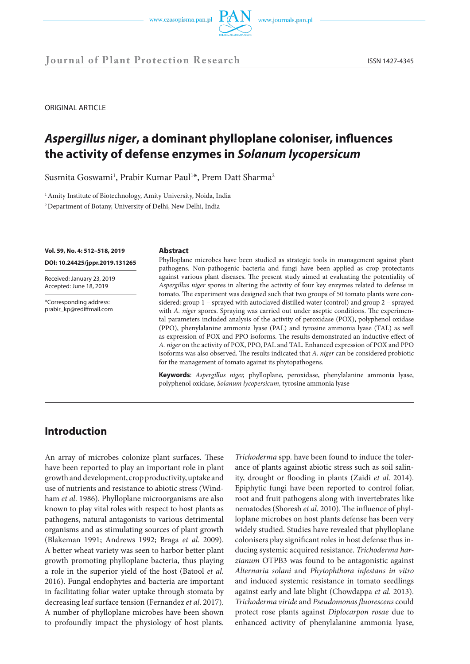



**Journal of Plant Protection Research** ISSN 1427-4345

ORIGINAL ARTICLE

# *Aspergillus niger***, a dominant phylloplane coloniser, influences the activity of defense enzymes in** *Solanum lycopersicum*

Susmita Goswami<sup>1</sup>, Prabir Kumar Paul<sup>1\*</sup>, Prem Datt Sharma<sup>2</sup>

<sup>1</sup> Amity Institute of Biotechnology, Amity University, Noida, India

2 Department of Botany, University of Delhi, New Delhi, India

#### **Vol. 59, No. 4: 512–518, 2019**

**DOI: 10.24425/jppr.2019.131265**

Received: January 23, 2019 Accepted: June 18, 2019

\*Corresponding address: prabir\_kp@rediffmail.com

#### **Abstract**

Phylloplane microbes have been studied as strategic tools in management against plant pathogens. Non-pathogenic bacteria and fungi have been applied as crop protectants against various plant diseases. The present study aimed at evaluating the potentiality of *Aspergillus niger* spores in altering the activity of four key enzymes related to defense in tomato. The experiment was designed such that two groups of 50 tomato plants were considered: group 1 – sprayed with autoclaved distilled water (control) and group 2 – sprayed with *A. niger* spores. Spraying was carried out under aseptic conditions. The experimental parameters included analysis of the activity of peroxidase (POX), polyphenol oxidase (PPO), phenylalanine ammonia lyase (PAL) and tyrosine ammonia lyase (TAL) as well as expression of POX and PPO isoforms. The results demonstrated an inductive effect of *A. niger* on the activity of POX, PPO, PAL and TAL. Enhanced expression of POX and PPO isoforms was also observed. The results indicated that *A. niger* can be considered probiotic for the management of tomato against its phytopathogens.

**Keywords**: *Aspergillus niger,* phylloplane, peroxidase, phenylalanine ammonia lyase, polyphenol oxidase, *Solanum lycopersicum,* tyrosine ammonia lyase

# **Introduction**

An array of microbes colonize plant surfaces. These have been reported to play an important role in plant growth and development, crop productivity, uptake and use of nutrients and resistance to abiotic stress (Windham *et al*. 1986). Phylloplane microorganisms are also known to play vital roles with respect to host plants as pathogens, natural antagonists to various detrimental organisms and as stimulating sources of plant growth (Blakeman 1991; Andrews 1992; Braga *et al*. 2009). A better wheat variety was seen to harbor better plant growth promoting phylloplane bacteria, thus playing a role in the superior yield of the host (Batool *et al*. 2016). Fungal endophytes and bacteria are important in facilitating foliar water uptake through stomata by decreasing leaf surface tension (Fernandez *et al*. 2017). A number of phylloplane microbes have been shown to profoundly impact the physiology of host plants.

*Trichoderma* spp. have been found to induce the tolerance of plants against abiotic stress such as soil salinity, drought or flooding in plants (Zaidi *et al*. 2014). Epiphytic fungi have been reported to control foliar, root and fruit pathogens along with invertebrates like nematodes (Shoresh *et al*. 2010). The influence of phylloplane microbes on host plants defense has been very widely studied. Studies have revealed that phylloplane colonisers play significant roles in host defense thus inducing systemic acquired resistance. *Trichoderma harzianum* OTPB3 was found to be antagonistic against *Alternaria solani* and *Phytophthora infestans in vitro*  and induced systemic resistance in tomato seedlings against early and late blight (Chowdappa *et al*. 2013). *Trichoderma viride* and *Pseudomonas fluorescens* could protect rose plants against *Diplocarpon rosae* due to enhanced activity of phenylalanine ammonia lyase,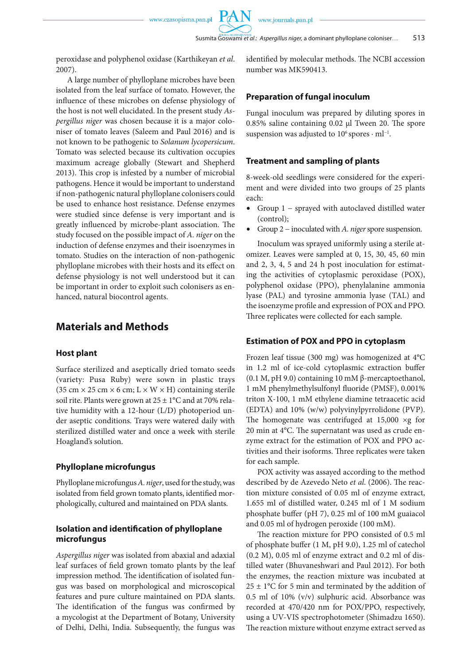PA

peroxidase and polyphenol oxidase (Karthikeyan *et al*. 2007).

A large number of phylloplane microbes have been isolated from the leaf surface of tomato. However, the influence of these microbes on defense physiology of the host is not well elucidated. In the present study *Aspergillus niger* was chosen because it is a major coloniser of tomato leaves (Saleem and Paul 2016) and is not known to be pathogenic to *Solanum lycopersicum*. Tomato was selected because its cultivation occupies maximum acreage globally (Stewart and Shepherd 2013). This crop is infested by a number of microbial pathogens. Hence it would be important to understand if non-pathogenic natural phylloplane colonisers could be used to enhance host resistance. Defense enzymes were studied since defense is very important and is greatly influenced by microbe-plant association. The study focused on the possible impact of *A. niger* on the induction of defense enzymes and their isoenzymes in tomato. Studies on the interaction of non-pathogenic phylloplane microbes with their hosts and its effect on defense physiology is not well understood but it can be important in order to exploit such colonisers as enhanced, natural biocontrol agents.

## **Materials and Methods**

## **Host plant**

Surface sterilized and aseptically dried tomato seeds (variety: Pusa Ruby) were sown in plastic trays  $(35 \text{ cm} \times 25 \text{ cm} \times 6 \text{ cm}; L \times W \times H)$  containing sterile soil rite. Plants were grown at  $25 \pm 1$ °C and at 70% relative humidity with a 12-hour (L/D) photoperiod under aseptic conditions. Trays were watered daily with sterilized distilled water and once a week with sterile Hoagland's solution.

## **Phylloplane microfungus**

Phylloplane microfungus *A. niger*, used for the study, was isolated from field grown tomato plants, identified morphologically, cultured and maintained on PDA slants.

## **Isolation and identification of phylloplane microfungus**

*Aspergillus niger* was isolated from abaxial and adaxial leaf surfaces of field grown tomato plants by the leaf impression method. The identification of isolated fungus was based on morphological and microscopical features and pure culture maintained on PDA slants. The identification of the fungus was confirmed by a mycologist at the Department of Botany, University of Delhi, Delhi, India. Subsequently, the fungus was

identified by molecular methods. The NCBI accession number was MK590413.

## **Preparation of fungal inoculum**

Fungal inoculum was prepared by diluting spores in 0.85% saline containing 0.02 µl Tween 20. The spore suspension was adjusted to  $10^6$  spores  $\cdot$  ml<sup>-1</sup>.

## **Treatment and sampling of plants**

8-week-old seedlings were considered for the experiment and were divided into two groups of 25 plants each:

- Group 1 − sprayed with autoclaved distilled water (control);
- Group 2 − inoculated with *A. niger* spore suspension.

Inoculum was sprayed uniformly using a sterile atomizer. Leaves were sampled at 0, 15, 30, 45, 60 min and 2, 3, 4, 5 and 24 h post inoculation for estimating the activities of cytoplasmic peroxidase (POX), polyphenol oxidase (PPO), phenylalanine ammonia lyase (PAL) and tyrosine ammonia lyase (TAL) and the isoenzyme profile and expression of POX and PPO. Three replicates were collected for each sample.

## **Estimation of POX and PPO in cytoplasm**

Frozen leaf tissue (300 mg) was homogenized at 4°C in 1.2 ml of ice-cold cytoplasmic extraction buffer (0.1 M, pH 9.0) containing 10 mM β-mercaptoethanol, 1 mM phenylmethylsulfonyl fluoride (PMSF), 0.001% triton X-100, 1 mM ethylene diamine tetraacetic acid (EDTA) and 10% (w/w) polyvinylpyrrolidone (PVP). The homogenate was centrifuged at  $15,000 \times g$  for 20 min at 4°C. The supernatant was used as crude enzyme extract for the estimation of POX and PPO activities and their isoforms. Three replicates were taken for each sample.

POX activity was assayed according to the method described by de Azevedo Neto *et al*. (2006). The reaction mixture consisted of 0.05 ml of enzyme extract, 1.655 ml of distilled water, 0.245 ml of 1 M sodium phosphate buffer (pH 7), 0.25 ml of 100 mM guaiacol and 0.05 ml of hydrogen peroxide (100 mM).

The reaction mixture for PPO consisted of 0.5 ml of phosphate buffer (1 M, pH 9.0), 1.25 ml of catechol (0.2 M), 0.05 ml of enzyme extract and 0.2 ml of distilled water (Bhuvaneshwari and Paul 2012). For both the enzymes, the reaction mixture was incubated at  $25 \pm 1$ °C for 5 min and terminated by the addition of 0.5 ml of 10% (v/v) sulphuric acid. Absorbance was recorded at 470/420 nm for POX/PPO, respectively, using a UV-VIS spectrophotometer (Shimadzu 1650). The reaction mixture without enzyme extract served as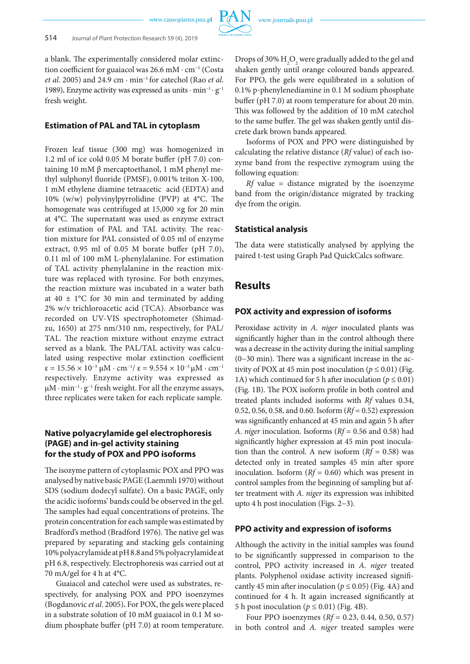

a blank. The experimentally considered molar extinction coefficient for guaiacol was 26.6 mM · cm<sup>−</sup><sup>1</sup> (Costa *et al*. 2005) and 24.9 cm · min<sup>−</sup>1 for catechol (Rao *et al*. 1989)**.** Enzyme activity was expressed as units · min<sup>−</sup>1 · g<sup>−</sup><sup>1</sup> fresh weight.

### **Estimation of PAL and TAL in cytoplasm**

Frozen leaf tissue (300 mg) was homogenized in 1.2 ml of ice cold 0.05 M borate buffer (pH 7.0) containing 10 mM β mercaptoethanol, 1 mM phenyl methyl sulphonyl fluoride (PMSF), 0.001% triton X-100, 1 mM ethylene diamine tetraacetic acid (EDTA) and 10% (w/w) polyvinylpyrrolidine (PVP) at 4°C. The homogenate was centrifuged at  $15,000 \times g$  for 20 min at 4°C. The supernatant was used as enzyme extract for estimation of PAL and TAL activity. The reaction mixture for PAL consisted of 0.05 ml of enzyme extract, 0.95 ml of 0.05 M borate buffer (pH 7.0), 0.11 ml of 100 mM L-phenylalanine. For estimation of TAL activity phenylalanine in the reaction mixture was replaced with tyrosine. For both enzymes, the reaction mixture was incubated in a water bath at  $40 \pm 1$ °C for 30 min and terminated by adding 2% w/v trichloroacetic acid (TCA). Absorbance was recorded on UV-VIS spectrophotometer (Shimadzu, 1650) at 275 nm/310 nm, respectively, for PAL/ TAL. The reaction mixture without enzyme extract served as a blank. The PAL/TAL activity was calculated using respective molar extinction coefficient ε = 15.56 × 10−3 µM · cm−1/ ε = 9.554 × 10−3 µM · cm−1 respectively. Enzyme activity was expressed as µM · min−1 · g−1 fresh weight. For all the enzyme assays, three replicates were taken for each replicate sample.

## **Native polyacrylamide gel electrophoresis (PAGE) and in-gel activity staining for the study of POX and PPO isoforms**

The isozyme pattern of cytoplasmic POX and PPO was analysed by native basic PAGE (Laemmli 1970) without SDS (sodium dodecyl sulfate). On a basic PAGE, only the acidic isoforms' bands could be observed in the gel. The samples had equal concentrations of proteins. The protein concentration for each sample was estimated by Bradford's method (Bradford 1976). The native gel was prepared by separating and stacking gels containing 10% polyacrylamide at pH 8.8 and 5% polyacrylamide at pH 6.8, respectively. Electrophoresis was carried out at 70 mA/gel for 4 h at 4°C.

Guaiacol and catechol were used as substrates, respectively, for analysing POX and PPO isoenzymes (Bogdanovic *et al*. 2005)**.** For POX, the gels were placed in a substrate solution of 10 mM guaiacol in 0.1 M sodium phosphate buffer (pH 7.0) at room temperature. Drops of 30%  $\rm H_2O_2$  were gradually added to the gel and shaken gently until orange coloured bands appeared. For PPO, the gels were equilibrated in a solution of 0.1% p-phenylenediamine in 0.1 M sodium phosphate buffer (pH 7.0) at room temperature for about 20 min. This was followed by the addition of 10 mM catechol to the same buffer. The gel was shaken gently until discrete dark brown bands appeared.

Isoforms of POX and PPO were distinguished by calculating the relative distance (*Rf* value) of each isozyme band from the respective zymogram using the following equation:

*Rf* value = distance migrated by the isoenzyme band from the origin/distance migrated by tracking dye from the origin.

#### **Statistical analysis**

The data were statistically analysed by applying the paired t-test using Graph Pad QuickCalcs software.

## **Results**

### **POX activity and expression of isoforms**

Peroxidase activity in *A. niger* inoculated plants was significantly higher than in the control although there was a decrease in the activity during the initial sampling (0−30 min). There was a significant increase in the activity of POX at 45 min post inoculation ( $p \le 0.01$ ) (Fig. 1A) which continued for 5 h after inoculation ( $p \le 0.01$ ) (Fig. 1B). The POX isoform profile in both control and treated plants included isoforms with *Rf* values 0.34, 0.52, 0.56, 0.58, and 0.60. Isoform (*Rf* = 0.52) expression was significantly enhanced at 45 min and again 5 h after *A*. *niger* inoculation. Isoforms (*Rf* = 0.56 and 0.58) had significantly higher expression at 45 min post inoculation than the control. A new isoform  $(Rf = 0.58)$  was detected only in treated samples 45 min after spore inoculation. Isoform (*Rf* = 0.60) which was present in control samples from the beginning of sampling but after treatment with *A*. *niger* its expression was inhibited upto 4 h post inoculation (Figs. 2−3).

### **PPO activity and expression of isoforms**

Although the activity in the initial samples was found to be significantly suppressed in comparison to the control, PPO activity increased in *A. niger* treated plants. Polyphenol oxidase activity increased significantly 45 min after inoculation ( $p \le 0.05$ ) (Fig. 4A) and continued for 4 h. It again increased significantly at 5 h post inoculation ( $p \le 0.01$ ) (Fig. 4B).

Four PPO isoenzymes (*Rf* = 0.23, 0.44, 0.50, 0.57) in both control and *A. niger* treated samples were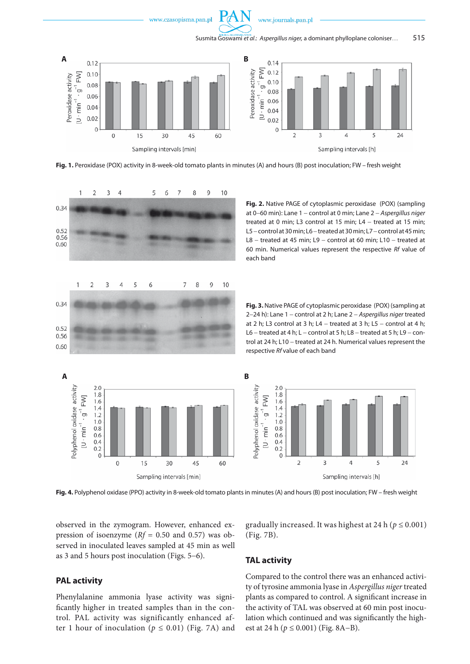

www.journals.pan.pl



**Fig. 1.** Peroxidase (POX) activity in 8-week-old tomato plants in minutes (A) and hours (B) post inoculation; FW – fresh weight



**Fig. 2.** Native PAGE of cytoplasmic peroxidase (POX) (sampling at 0−60 min): Lane 1 − control at 0 min; Lane 2 − *Aspergillus niger* treated at 0 min; L3 control at 15 min; L4 − treated at 15 min; L5 − control at 30 min; L6 − treated at 30 min; L7 − control at 45 min; L8 – treated at 45 min; L9 – control at 60 min; L10 – treated at 60 min. Numerical values represent the respective *Rf* value of each band

**Fig. 3.** Native PAGE of cytoplasmic peroxidase (POX) (sampling at 2−24 h): Lane 1 − control at 2 h; Lane 2 − *Aspergillus niger* treated at 2 h; L3 control at 3 h; L4 – treated at 3 h; L5 – control at 4 h; L6 – treated at 4 h; L – control at 5 h; L8 – treated at 5 h; L9 – control at 24 h; L10 − treated at 24 h. Numerical values represent the respective *Rf* value of each band



**Fig. 4.** Polyphenol oxidase (PPO) activity in 8-week-old tomato plantsin minutes (A) and hours (B) post inoculation; FW – fresh weight

observed in the zymogram. However, enhanced expression of isoenzyme (*Rf* = 0.50 and 0.57) was observed in inoculated leaves sampled at 45 min as well as 3 and 5 hours post inoculation (Figs. 5−6).

## **PAL activity**

Phenylalanine ammonia lyase activity was significantly higher in treated samples than in the control. PAL activity was significantly enhanced after 1 hour of inoculation ( $p \le 0.01$ ) (Fig. 7A) and gradually increased. It was highest at 24 h ( $p \le 0.001$ ) (Fig. 7B).

### **TAL activity**

Compared to the control there was an enhanced activity of tyrosine ammonia lyase in *Aspergillus niger* treated plants as compared to control. A significant increase in the activity of TAL was observed at 60 min post inoculation which continued and was significantly the highest at 24 h (*p* ≤ 0.001) (Fig. 8A−B).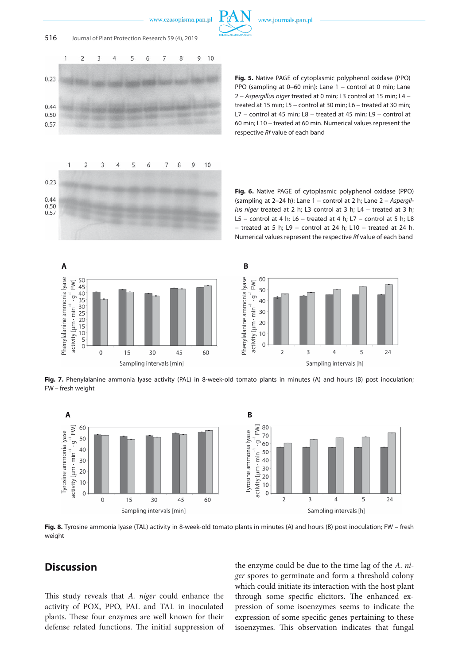



**Fig. 5.** Native PAGE of cytoplasmic polyphenol oxidase (PPO) PPO (sampling at 0–60 min): Lane 1 – control at 0 min; Lane 2 − *Aspergillus niger* treated at 0 min; L3 control at 15 min; L4 − treated at 15 min; L5 − control at 30 min; L6 − treated at 30 min; L7 – control at 45 min; L8 – treated at 45 min; L9 – control at 60 min; L10 − treated at 60 min. Numerical values represent the respective *Rf* value of each band

**Fig. 6.** Native PAGE of cytoplasmic polyphenol oxidase (PPO) (sampling at 2−24 h): Lane 1 − control at 2 h; Lane 2 − *Aspergillus niger* treated at 2 h; L3 control at 3 h; L4 − treated at 3 h; L5 – control at 4 h; L6 – treated at 4 h; L7 – control at 5 h; L8 − treated at 5 h; L9 − control at 24 h; L10 − treated at 24 h. Numerical values represent the respective *Rf* value of each band





**Fig. 7.** Phenylalanine ammonia lyase activity (PAL) in 8-week-old tomato plants in minutes (A) and hours (B) post inoculation; FW – fresh weight



**Fig. 8.** Tyrosine ammonia lyase (TAL) activity in 8-week-old tomato plants in minutes (A) and hours (B) post inoculation; FW – fresh weight

# **Discussion**

This study reveals that *A. niger* could enhance the activity of POX, PPO, PAL and TAL in inoculated plants. These four enzymes are well known for their defense related functions. The initial suppression of

the enzyme could be due to the time lag of the *A*. *niger* spores to germinate and form a threshold colony which could initiate its interaction with the host plant through some specific elicitors. The enhanced expression of some isoenzymes seems to indicate the expression of some specific genes pertaining to these isoenzymes. This observation indicates that fungal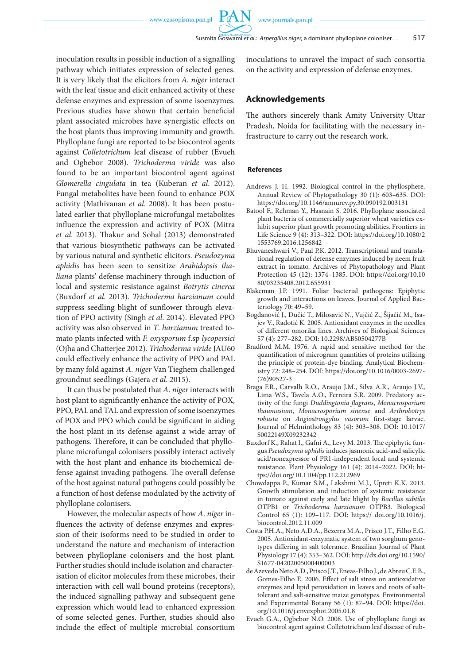**PAN** 

inoculation results in possible induction of a signalling pathway which initiates expression of selected genes. It is very likely that the elicitors from *A. niger* interact with the leaf tissue and elicit enhanced activity of these defense enzymes and expression of some isoenzymes. Previous studies have shown that certain beneficial plant associated microbes have synergistic effects on the host plants thus improving immunity and growth. Phylloplane fungi are reported to be biocontrol agents against *Colletotrichum* leaf disease of rubber (Evueh and Ogbebor 2008). *Trichoderma viride* was also found to be an important biocontrol agent against *Glomerella cingulata* in tea (Kuberan *et al*. 2012). Fungal metabolites have been found to enhance POX activity (Mathivanan *et al*. 2008). It has been postulated earlier that phylloplane microfungal metabolites influence the expression and activity of POX (Mitra *et al*. 2013). Thakur and Sohal (2013) demonstrated that various biosynthetic pathways can be activated by various natural and synthetic elicitors. *Pseudozyma aphidis* has been seen to sensitize *Arabidopsis thaliana* plants' defense machinery through induction of local and systemic resistance against *Botrytis cinerea* (Buxdorf *et al*. 2013). *Trichoderma harzianum* could suppress seedling blight of sunflower through elevation of PPO activity (Singh *et al*. 2014). Elevated PPO activity was also observed in *T*. *harzianum* treated tomato plants infected with *F. oxysporum* f.sp *lycopersici* (Ojha and Chatterjee 2012). *Trichoderma viride* JAU60 could effectively enhance the activity of PPO and PAL by many fold against *A. niger* Van Tieghem challenged groundnut seedlings (Gajera *et al*. 2015).

It can thus be postulated that *A*. *niger* interacts with host plant to significantly enhance the activity of POX, PPO, PAL and TAL and expression of some isoenzymes of POX and PPO which could be significant in aiding the host plant in its defense against a wide array of pathogens. Therefore, it can be concluded that phylloplane microfungal colonisers possibly interact actively with the host plant and enhance its biochemical defense against invading pathogens. The overall defense of the host against natural pathogens could possibly be a function of host defense modulated by the activity of phylloplane colonisers.

However, the molecular aspects of how *A*. *niger* influences the activity of defense enzymes and expression of their isoforms need to be studied in order to understand the nature and mechanism of interaction between phylloplane colonisers and the host plant. Further studies should include isolation and characterisation of elicitor molecules from these microbes, their interaction with cell wall bound proteins (receptors), the induced signalling pathway and subsequent gene expression which would lead to enhanced expression of some selected genes. Further, studies should also include the effect of multiple microbial consortium

inoculations to unravel the impact of such consortia on the activity and expression of defense enzymes.

## **Acknowledgements**

The authors sincerely thank Amity University Uttar Pradesh, Noida for facilitating with the necessary infrastructure to carry out the research work.

#### **References**

- Andrews J. H. 1992. Biological control in the phyllosphere. Annual Review of Phytopathology 30 (1): 603–635. DOI: https://doi.org/10.1146/annurev.py.30.090192.003131
- Batool F., Rehman Y., Hasnain S. 2016. Phylloplane associated plant bacteria of commercially superior wheat varieties exhibit superior plant growth promoting abilities. Frontiers in Life Science 9 (4): 313–322. DOI: https://doi.org/10.1080/2 1553769.2016.1256842
- Bhuvaneshwari V., Paul P.K. 2012. Transcriptional and translational regulation of defense enzymes induced by neem fruit extract in tomato. Archives of Phytopathology and Plant Protection 45 (12): 1374–1385. DOI: https://doi.org/10.10 80/03235408.2012.655931
- Blakeman J.P. 1991. Foliar bacterial pathogens: Epiphytic growth and interactions on leaves. Journal of Applied Bacteriology 70: 49–59.
- Bogdanović J., Dučić T., Milosavić N., Vujčić Z., Šijačić M., Isajev V., Radotić K. 2005. Antioxidant enzymes in the needles of different omorika lines. Archives of Biological Sciences 57 (4): 277–282. DOI: 10.2298/ABS0504277B
- Bradford M.M. 1976. A rapid and sensitive method for the quantification of microgram quantities of proteins utilizing the principle of protein-dye binding. Analytical Biochemistry 72: 248–254. DOI: https://doi.org/10.1016/0003-2697- (76)90527-3
- Braga F.R., Carvalh R.O., Araujo J.M., Silva A.R., Araujo J.V., Lima W.S., Tavela A.O., Ferreira S.R. 2009. Predatory activity of the fungi *Duddingtonia flagrans*, *Monacrosporium thaumasium*, *Monacrosporium sinense* and *Arthrobotrys robusta* on *Angiostrongylus vasorum* first-stage larvae. Journal of Helminthology 83 (4): 303–308. DOI: 10.1017/ S0022149X09232342
- Buxdorf K., Rahat I., Gafni A., Levy M. 2013. The epiphytic fungus *Pseudozyma aphidis* induces jasmonic acid-and salicylic acid/nonexpressor of PR1-independent local and systemic resistance. Plant Physiology 161 (4): 2014–2022. DOI: https://doi.org/10.1104/pp.112.212969
- Chowdappa P., Kumar S.M., Lakshmi M.J., Upreti K.K. 2013. Growth stimulation and induction of systemic resistance in tomato against early and late blight by *Bacillus subtilis*  OTPB1 or *Trichoderma harzianum* OTPB3. Biological Control 65 (1): 109–117. DOI: https:// doi.org/10.1016/j. biocontrol.2012.11.009
- Costa P.H.A., Neto A.D.A., Bezerra M.A., Prisco J.T., Filho E.G. 2005. Antioxidant-enzymatic system of two sorghum genotypes differing in salt tolerance. Brazilian Journal of Plant Physiology 17 (4): 353–362. DOI: http://dx.doi.org/10.1590/ S1677-04202005000400003
- de Azevedo Neto A.D., Prisco J.T., Eneas-Filho J., de Abreu C.E.B., Gomes-Filho E. 2006. Effect of salt stress on antioxidative enzymes and lipid peroxidation in leaves and roots of salttolerant and salt-sensitive maize genotypes. Environmental and Experimental Botany 56 (1): 87–94. DOI: https://doi. org/10.1016/j.envexpbot.2005.01.8
- Evueh G.A., Ogbebor N.O. 2008. Use of phylloplane fungi as biocontrol agent against Colletotrichum leaf disease of rub-